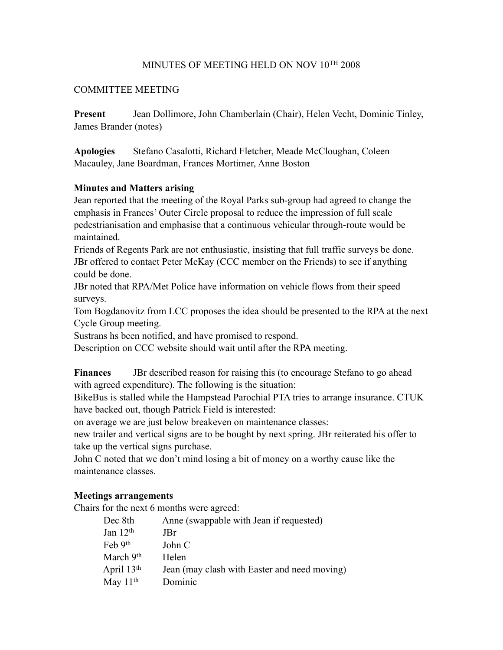## MINUTES OF MEETING HELD ON NOV 10TH 2008

#### COMMITTEE MEETING

**Present** Jean Dollimore, John Chamberlain (Chair), Helen Vecht, Dominic Tinley, James Brander (notes)

**Apologies** Stefano Casalotti, Richard Fletcher, Meade McCloughan, Coleen Macauley, Jane Boardman, Frances Mortimer, Anne Boston

#### **Minutes and Matters arising**

Jean reported that the meeting of the Royal Parks sub-group had agreed to change the emphasis in Frances' Outer Circle proposal to reduce the impression of full scale pedestrianisation and emphasise that a continuous vehicular through-route would be maintained.

Friends of Regents Park are not enthusiastic, insisting that full traffic surveys be done. JBr offered to contact Peter McKay (CCC member on the Friends) to see if anything could be done.

JBr noted that RPA/Met Police have information on vehicle flows from their speed surveys.

Tom Bogdanovitz from LCC proposes the idea should be presented to the RPA at the next Cycle Group meeting.

Sustrans hs been notified, and have promised to respond.

Description on CCC website should wait until after the RPA meeting.

**Finances** JBr described reason for raising this (to encourage Stefano to go ahead with agreed expenditure). The following is the situation:

BikeBus is stalled while the Hampstead Parochial PTA tries to arrange insurance. CTUK have backed out, though Patrick Field is interested:

on average we are just below breakeven on maintenance classes:

new trailer and vertical signs are to be bought by next spring. JBr reiterated his offer to take up the vertical signs purchase.

John C noted that we don't mind losing a bit of money on a worthy cause like the maintenance classes.

#### **Meetings arrangements**

Chairs for the next 6 months were agreed:

| Dec 8th                     | Anne (swappable with Jean if requested)      |
|-----------------------------|----------------------------------------------|
| Jan $12th$                  | JBr.                                         |
| $\text{Feb } 9^{\text{th}}$ | John C                                       |
| March 9th                   | Helen                                        |
| April 13th                  | Jean (may clash with Easter and need moving) |
| May $11th$                  | Dominic                                      |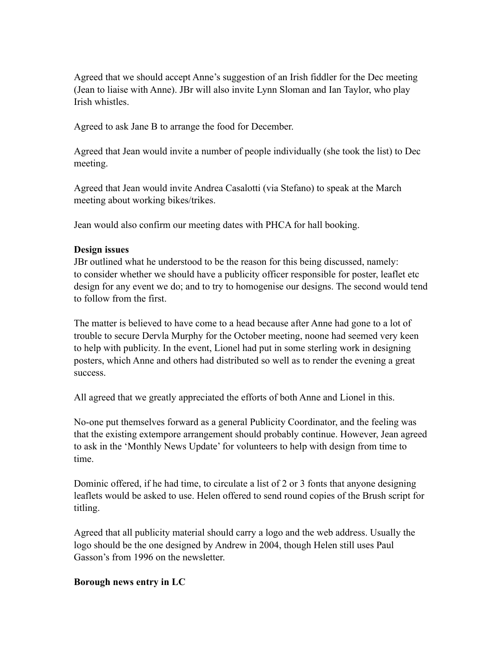Agreed that we should accept Anne's suggestion of an Irish fiddler for the Dec meeting (Jean to liaise with Anne). JBr will also invite Lynn Sloman and Ian Taylor, who play Irish whistles.

Agreed to ask Jane B to arrange the food for December.

Agreed that Jean would invite a number of people individually (she took the list) to Dec meeting.

Agreed that Jean would invite Andrea Casalotti (via Stefano) to speak at the March meeting about working bikes/trikes.

Jean would also confirm our meeting dates with PHCA for hall booking.

## **Design issues**

JBr outlined what he understood to be the reason for this being discussed, namely: to consider whether we should have a publicity officer responsible for poster, leaflet etc design for any event we do; and to try to homogenise our designs. The second would tend to follow from the first.

The matter is believed to have come to a head because after Anne had gone to a lot of trouble to secure Dervla Murphy for the October meeting, noone had seemed very keen to help with publicity. In the event, Lionel had put in some sterling work in designing posters, which Anne and others had distributed so well as to render the evening a great success.

All agreed that we greatly appreciated the efforts of both Anne and Lionel in this.

No-one put themselves forward as a general Publicity Coordinator, and the feeling was that the existing extempore arrangement should probably continue. However, Jean agreed to ask in the 'Monthly News Update' for volunteers to help with design from time to time.

Dominic offered, if he had time, to circulate a list of 2 or 3 fonts that anyone designing leaflets would be asked to use. Helen offered to send round copies of the Brush script for titling.

Agreed that all publicity material should carry a logo and the web address. Usually the logo should be the one designed by Andrew in 2004, though Helen still uses Paul Gasson's from 1996 on the newsletter.

# **Borough news entry in LC**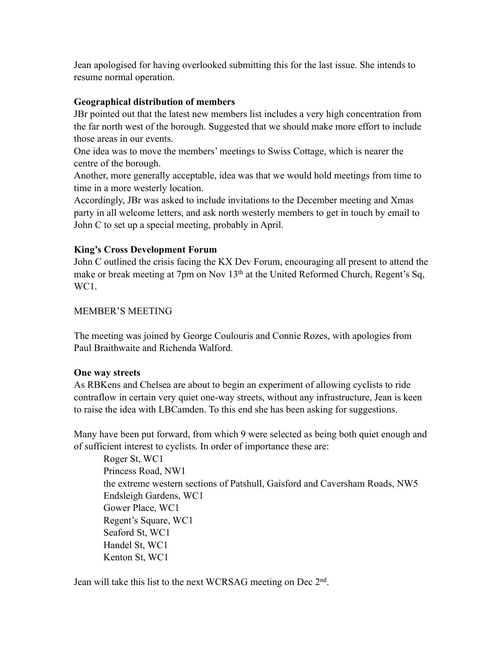Jean apologised for having overlooked submitting this for the last issue. She intends to resume normal operation.

## **Geographical distribution of members**

JBr pointed out that the latest new members list includes a very high concentration from the far north west of the borough. Suggested that we should make more effort to include those areas in our events.

One idea was to move the members' meetings to Swiss Cottage, which is nearer the centre of the borough.

Another, more generally acceptable, idea was that we would hold meetings from time to time in a more westerly location.

Accordingly, JBr was asked to include invitations to the December meeting and Xmas party in all welcome letters, and ask north westerly members to get in touch by email to John C to set up a special meeting, probably in April.

## **King's Cross Development Forum**

John C outlined the crisis facing the KX Dev Forum, encouraging all present to attend the make or break meeting at 7pm on Nov 13<sup>th</sup> at the United Reformed Church, Regent's Sq, WC<sub>1</sub>.

## MEMBER'S MEETING

The meeting was joined by George Coulouris and Connie Rozes, with apologies from Paul Braithwaite and Richenda Walford.

## **One way streets**

As RBKens and Chelsea are about to begin an experiment of allowing cyclists to ride contraflow in certain very quiet one-way streets, without any infrastructure, Jean is keen to raise the idea with LBCamden. To this end she has been asking for suggestions.

Many have been put forward, from which 9 were selected as being both quiet enough and of sufficient interest to cyclists. In order of importance these are:

 Roger St, WC1 Princess Road, NW1 the extreme western sections of Patshull, Gaisford and Caversham Roads, NW5 Endsleigh Gardens, WC1 Gower Place, WC1 Regent's Square, WC1 Seaford St, WC1 Handel St, WC1 Kenton St, WC1

Jean will take this list to the next WCRSAG meeting on Dec 2nd.